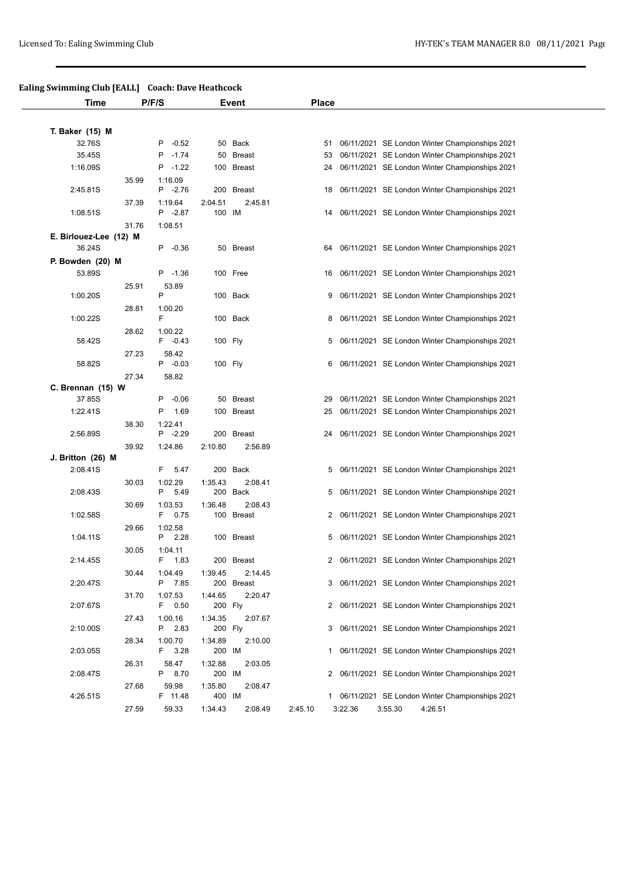## **Ealing Swimming Club [EALL] Coach: Dave Heathcock**

| Time                   |       | P/F/S                 |         | Event      | <b>Place</b> |         |                                                   |
|------------------------|-------|-----------------------|---------|------------|--------------|---------|---------------------------------------------------|
|                        |       |                       |         |            |              |         |                                                   |
| T. Baker (15) M        |       |                       |         |            |              |         |                                                   |
| 32.76S                 |       | $-0.52$<br>P          |         | 50 Back    | 51           |         | 06/11/2021 SE London Winter Championships 2021    |
| 35.45S                 |       | P -1.74               |         | 50 Breast  | 53           |         | 06/11/2021 SE London Winter Championships 2021    |
| 1:16.09S               |       | $P - 1.22$            |         | 100 Breast | 24           |         | 06/11/2021 SE London Winter Championships 2021    |
|                        | 35.99 | 1:16.09               |         |            |              |         |                                                   |
| 2:45.81S               |       | $P -2.76$             |         | 200 Breast | 18           |         | 06/11/2021 SE London Winter Championships 2021    |
|                        | 37.39 | 1:19.64               | 2:04.51 | 2:45.81    |              |         |                                                   |
| 1:08.51S               |       | P -2.87               | 100 IM  |            | 14           |         | 06/11/2021 SE London Winter Championships 2021    |
|                        | 31.76 | 1:08.51               |         |            |              |         |                                                   |
| E. Birlouez-Lee (12) M |       |                       |         |            |              |         |                                                   |
| 36.24S                 |       | P -0.36               |         | 50 Breast  |              |         | 64 06/11/2021 SE London Winter Championships 2021 |
| P. Bowden (20) M       |       |                       |         |            |              |         |                                                   |
| 53.89S                 |       | $P -1.36$             |         | 100 Free   |              |         | 16 06/11/2021 SE London Winter Championships 2021 |
|                        | 25.91 | 53.89                 |         |            |              |         |                                                   |
| 1:00.20S               |       | P                     |         | 100 Back   | 9            |         | 06/11/2021 SE London Winter Championships 2021    |
| 1:00.22S               | 28.81 | 1:00.20<br>F.         |         | 100 Back   |              |         | 8 06/11/2021 SE London Winter Championships 2021  |
|                        |       |                       |         |            |              |         |                                                   |
| 58.42S                 | 28.62 | 1:00.22<br>$F -0.43$  |         | 100 Fly    |              |         | 5 06/11/2021 SE London Winter Championships 2021  |
|                        | 27.23 | 58.42                 |         |            |              |         |                                                   |
| 58.82S                 |       | $P -0.03$             |         | 100 Fly    |              |         | 6 06/11/2021 SE London Winter Championships 2021  |
|                        | 27.34 | 58.82                 |         |            |              |         |                                                   |
| C. Brennan (15) W      |       |                       |         |            |              |         |                                                   |
| 37.85S                 |       | $-0.06$<br>P          |         | 50 Breast  | 29           |         | 06/11/2021 SE London Winter Championships 2021    |
| 1:22.41S               |       | 1.69<br>P             |         | 100 Breast |              |         | 25 06/11/2021 SE London Winter Championships 2021 |
|                        | 38.30 | 1:22.41               |         |            |              |         |                                                   |
| 2:56.89S               |       | $P -2.29$             |         | 200 Breast | 24           |         | 06/11/2021 SE London Winter Championships 2021    |
|                        | 39.92 | 1:24.86               | 2:10.80 | 2:56.89    |              |         |                                                   |
| J. Britton (26) M      |       |                       |         |            |              |         |                                                   |
| 2:08.41S               |       | F 5.47                |         | 200 Back   |              |         | 5 06/11/2021 SE London Winter Championships 2021  |
|                        | 30.03 | 1:02.29               | 1:35.43 | 2:08.41    |              |         |                                                   |
| 2:08.43S               |       | 5.49<br>P             |         | 200 Back   |              |         | 5 06/11/2021 SE London Winter Championships 2021  |
|                        | 30.69 | 1:03.53               | 1:36.48 | 2:08.43    |              |         |                                                   |
| 1:02.58S               |       | F 0.75                |         | 100 Breast |              |         | 2 06/11/2021 SE London Winter Championships 2021  |
|                        | 29.66 | 1:02.58               |         |            |              |         |                                                   |
| 1:04.11S               |       | P 2.28                |         | 100 Breast |              |         | 5 06/11/2021 SE London Winter Championships 2021  |
| 2:14.45S               | 30.05 | 1:04.11<br>F.<br>1.83 |         | 200 Breast |              |         | 2 06/11/2021 SE London Winter Championships 2021  |
|                        | 30.44 | 1:04.49               | 1:39.45 | 2:14.45    |              |         |                                                   |
| 2:20.47S               |       | P 7.85                |         | 200 Breast |              |         | 3 06/11/2021 SE London Winter Championships 2021  |
|                        | 31.70 | 1:07.53               | 1:44.65 | 2:20.47    |              |         |                                                   |
| 2:07.67S               |       | F 0.50                | 200 Fly |            |              |         | 2 06/11/2021 SE London Winter Championships 2021  |
|                        | 27.43 | 1:00.16               | 1:34.35 | 2:07.67    |              |         |                                                   |
| 2:10.00S               |       | P 2.83                | 200 Fly |            |              |         | 3 06/11/2021 SE London Winter Championships 2021  |
|                        | 28.34 | 1:00.70               | 1:34.89 | 2:10.00    |              |         |                                                   |
| 2:03.05S               |       | F 3.28                | 200 IM  |            |              |         | 1 06/11/2021 SE London Winter Championships 2021  |
|                        | 26.31 | 58.47                 | 1:32.88 | 2:03.05    |              |         |                                                   |
| 2:08.47S               |       | P 8.70                | 200 IM  |            |              |         | 2 06/11/2021 SE London Winter Championships 2021  |
|                        | 27.68 | 59.98                 | 1:35.80 | 2:08.47    |              |         |                                                   |
| 4:26.51S               |       | F 11.48               | 400 IM  |            |              |         | 1 06/11/2021 SE London Winter Championships 2021  |
|                        | 27.59 | 59.33                 | 1:34.43 | 2:08.49    | 2:45.10      | 3:22.36 | 3:55.30<br>4:26.51                                |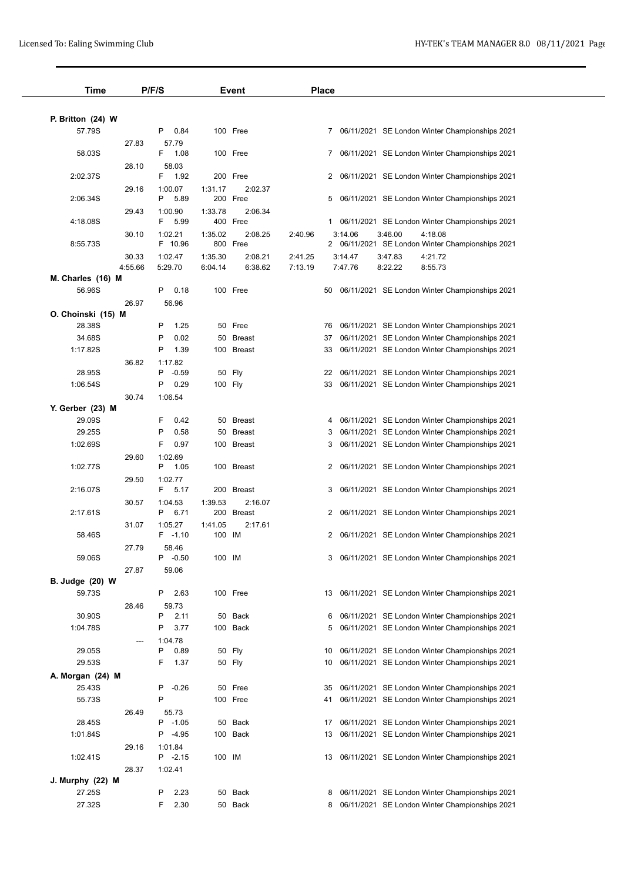| P/F/S<br>Time          |         |                       | <b>Event</b>      |                       | <b>Place</b> |    |         |         |         |                                                   |  |
|------------------------|---------|-----------------------|-------------------|-----------------------|--------------|----|---------|---------|---------|---------------------------------------------------|--|
|                        |         |                       |                   |                       |              |    |         |         |         |                                                   |  |
| P. Britton (24) W      |         |                       |                   |                       |              |    |         |         |         |                                                   |  |
| 57.79S                 |         | 0.84<br>P             |                   | 100 Free              |              |    |         |         |         | 7 06/11/2021 SE London Winter Championships 2021  |  |
| 58.03S                 | 27.83   | 57.79<br>1.08<br>F.   |                   | 100 Free              |              |    |         |         |         | 7 06/11/2021 SE London Winter Championships 2021  |  |
|                        |         |                       |                   |                       |              |    |         |         |         |                                                   |  |
| 2:02.37S               | 28.10   | 58.03<br>F 1.92       |                   | 200 Free              |              |    |         |         |         | 2 06/11/2021 SE London Winter Championships 2021  |  |
|                        | 29.16   | 1:00.07               | 1:31.17           | 2:02.37               |              |    |         |         |         |                                                   |  |
| 2:06.34S               |         | P<br>5.89             |                   | 200 Free              |              | 5  |         |         |         | 06/11/2021 SE London Winter Championships 2021    |  |
|                        | 29.43   | 1:00.90               | 1:33.78           | 2:06.34               |              |    |         |         |         |                                                   |  |
| 4:18.08S               |         | F.<br>5.99            |                   | 400 Free              |              |    |         |         |         | 1 06/11/2021 SE London Winter Championships 2021  |  |
|                        | 30.10   | 1:02.21               | 1:35.02           | 2:08.25               | 2:40.96      |    | 3:14.06 | 3:46.00 | 4:18.08 |                                                   |  |
| 8:55.73S               |         | F 10.96               |                   | 800 Free              |              |    |         |         |         | 2 06/11/2021 SE London Winter Championships 2021  |  |
|                        | 30.33   | 1:02.47               | 1:35.30           | 2:08.21               | 2:41.25      |    | 3:14.47 | 3:47.83 | 4:21.72 |                                                   |  |
|                        | 4:55.66 | 5:29.70               | 6:04.14           | 6:38.62               | 7:13.19      |    | 7:47.76 | 8:22.22 | 8:55.73 |                                                   |  |
| M. Charles (16) M      |         |                       |                   |                       |              |    |         |         |         |                                                   |  |
| 56.96S                 |         | 0.18<br>P             |                   | 100 Free              |              |    |         |         |         | 50 06/11/2021 SE London Winter Championships 2021 |  |
|                        | 26.97   | 56.96                 |                   |                       |              |    |         |         |         |                                                   |  |
| O. Choinski (15) M     |         |                       |                   |                       |              |    |         |         |         |                                                   |  |
| 28.38S                 |         | 1.25<br>P             |                   | 50 Free               |              |    |         |         |         | 76 06/11/2021 SE London Winter Championships 2021 |  |
| 34.68S                 |         | 0.02<br>P             |                   | 50 Breast             |              |    |         |         |         | 37 06/11/2021 SE London Winter Championships 2021 |  |
| 1:17.82S               |         | 1.39<br>P             |                   | 100 Breast            |              | 33 |         |         |         | 06/11/2021 SE London Winter Championships 2021    |  |
|                        | 36.82   | 1:17.82               |                   |                       |              |    |         |         |         |                                                   |  |
| 28.95S                 |         | $-0.59$<br>P          |                   | 50 Fly                |              | 22 |         |         |         | 06/11/2021 SE London Winter Championships 2021    |  |
| 1:06.54S               |         | 0.29<br>P             |                   | 100 Fly               |              |    |         |         |         | 33 06/11/2021 SE London Winter Championships 2021 |  |
|                        | 30.74   | 1:06.54               |                   |                       |              |    |         |         |         |                                                   |  |
| Y. Gerber (23) M       |         |                       |                   |                       |              |    |         |         |         |                                                   |  |
| 29.09S                 |         | F<br>0.42             |                   | 50 Breast             |              |    |         |         |         | 4 06/11/2021 SE London Winter Championships 2021  |  |
| 29.25S                 |         | 0.58<br>P             |                   | 50 Breast             |              |    |         |         |         | 3 06/11/2021 SE London Winter Championships 2021  |  |
| 1:02.69S               |         | F<br>0.97             |                   | 100 Breast            |              |    |         |         |         | 3 06/11/2021 SE London Winter Championships 2021  |  |
|                        | 29.60   | 1:02.69               |                   |                       |              |    |         |         |         |                                                   |  |
| 1:02.77S               |         | P 1.05                |                   | 100 Breast            |              | 2  |         |         |         | 06/11/2021 SE London Winter Championships 2021    |  |
|                        | 29.50   | 1:02.77               |                   |                       |              |    |         |         |         |                                                   |  |
| 2:16.07S               |         | 5.17<br>F.            | 200               | <b>Breast</b>         |              | 3  |         |         |         | 06/11/2021 SE London Winter Championships 2021    |  |
| 2:17.61S               | 30.57   | 1:04.53<br>P<br>6.71  | 1:39.53           | 2:16.07<br>200 Breast |              | 2  |         |         |         | 06/11/2021 SE London Winter Championships 2021    |  |
|                        |         |                       |                   | 2:17.61               |              |    |         |         |         |                                                   |  |
| 58.46S                 | 31.07   | 1:05.27<br>$F - 1.10$ | 1:41.05<br>100 IM |                       |              |    |         |         |         | 2 06/11/2021 SE London Winter Championships 2021  |  |
|                        | 27.79   | 58.46                 |                   |                       |              |    |         |         |         |                                                   |  |
| 59.06S                 |         | $P -0.50$             | 100 IM            |                       |              |    |         |         |         | 3 06/11/2021 SE London Winter Championships 2021  |  |
|                        | 27.87   | 59.06                 |                   |                       |              |    |         |         |         |                                                   |  |
| <b>B.</b> Judge (20) W |         |                       |                   |                       |              |    |         |         |         |                                                   |  |
| 59.73S                 |         | 2.63<br>P             |                   | 100 Free              |              | 13 |         |         |         | 06/11/2021 SE London Winter Championships 2021    |  |
|                        | 28.46   | 59.73                 |                   |                       |              |    |         |         |         |                                                   |  |
| 30.90S                 |         | P<br>2.11             |                   | 50 Back               |              | 6  |         |         |         | 06/11/2021 SE London Winter Championships 2021    |  |
| 1:04.78S               |         | 3.77<br>P             |                   | 100 Back              |              | 5  |         |         |         | 06/11/2021 SE London Winter Championships 2021    |  |
|                        |         | 1:04.78               |                   |                       |              |    |         |         |         |                                                   |  |
| 29.05S                 |         | P<br>0.89             |                   | 50 Fly                |              | 10 |         |         |         | 06/11/2021 SE London Winter Championships 2021    |  |
| 29.53S                 |         | F<br>1.37             |                   | 50 Fly                |              | 10 |         |         |         | 06/11/2021 SE London Winter Championships 2021    |  |
| A. Morgan (24) M       |         |                       |                   |                       |              |    |         |         |         |                                                   |  |
| 25.43S                 |         | $-0.26$<br>P          |                   | 50 Free               |              | 35 |         |         |         | 06/11/2021 SE London Winter Championships 2021    |  |
| 55.73S                 |         | P                     |                   | 100 Free              |              | 41 |         |         |         | 06/11/2021 SE London Winter Championships 2021    |  |
|                        | 26.49   | 55.73                 |                   |                       |              |    |         |         |         |                                                   |  |
| 28.45S                 |         | P -1.05               |                   | 50 Back               |              | 17 |         |         |         | 06/11/2021 SE London Winter Championships 2021    |  |
| 1:01.84S               |         | $-4.95$<br>P          |                   | 100 Back              |              | 13 |         |         |         | 06/11/2021 SE London Winter Championships 2021    |  |
|                        | 29.16   | 1:01.84               |                   |                       |              |    |         |         |         |                                                   |  |
| 1:02.41S               |         | $P -2.15$             | 100 IM            |                       |              | 13 |         |         |         | 06/11/2021 SE London Winter Championships 2021    |  |
|                        | 28.37   | 1:02.41               |                   |                       |              |    |         |         |         |                                                   |  |
| J. Murphy (22) M       |         |                       |                   |                       |              |    |         |         |         |                                                   |  |
| 27.25S                 |         | P<br>2.23             |                   | 50 Back               |              | 8  |         |         |         | 06/11/2021 SE London Winter Championships 2021    |  |
| 27.32S                 |         | 2.30<br>F             |                   | 50 Back               |              |    |         |         |         | 8 06/11/2021 SE London Winter Championships 2021  |  |
|                        |         |                       |                   |                       |              |    |         |         |         |                                                   |  |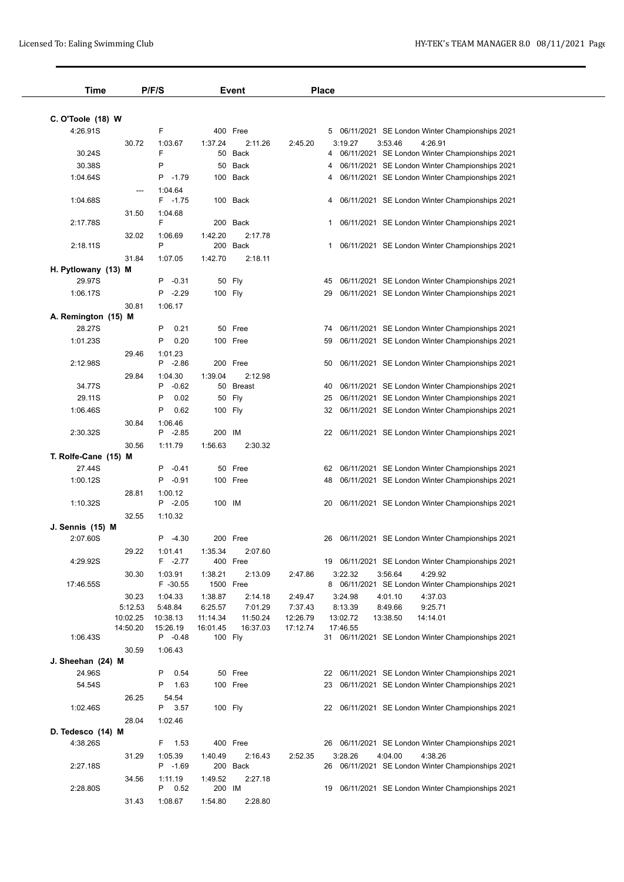| Time                 |          | P/F/S                 |          | Event               |          | <b>Place</b> |          |          |                                                              |  |
|----------------------|----------|-----------------------|----------|---------------------|----------|--------------|----------|----------|--------------------------------------------------------------|--|
|                      |          |                       |          |                     |          |              |          |          |                                                              |  |
| C. O'Toole (18) W    |          |                       |          |                     |          |              |          |          |                                                              |  |
| 4:26.91S             |          | F                     |          | 400 Free            |          |              |          |          | 5 06/11/2021 SE London Winter Championships 2021             |  |
|                      | 30.72    | 1:03.67<br>F          | 1:37.24  | 2:11.26             | 2:45.20  |              | 3:19.27  | 3:53.46  | 4:26.91                                                      |  |
| 30.24S               |          |                       | 50       | Back                |          | 4            |          |          | 06/11/2021 SE London Winter Championships 2021               |  |
| 30.38S               |          | P                     |          | 50 Back             |          | 4            |          |          | 06/11/2021 SE London Winter Championships 2021               |  |
| 1:04.64S             |          | P -1.79               |          | 100 Back            |          | 4            |          |          | 06/11/2021 SE London Winter Championships 2021               |  |
|                      | ---      | 1:04.64<br>$F - 1.75$ |          |                     |          |              |          |          | 4 06/11/2021 SE London Winter Championships 2021             |  |
| 1:04.68S             |          |                       |          | 100 Back            |          |              |          |          |                                                              |  |
| 2:17.78S             | 31.50    | 1:04.68<br>F          |          | 200 Back            |          |              |          |          | 1 06/11/2021 SE London Winter Championships 2021             |  |
|                      | 32.02    | 1:06.69               | 1:42.20  | 2:17.78             |          |              |          |          |                                                              |  |
| 2:18.11S             |          | P                     |          | 200 Back            |          |              |          |          | 1 06/11/2021 SE London Winter Championships 2021             |  |
|                      | 31.84    | 1:07.05               | 1:42.70  | 2:18.11             |          |              |          |          |                                                              |  |
| H. Pytlowany (13) M  |          |                       |          |                     |          |              |          |          |                                                              |  |
| 29.97S               |          | $P -0.31$             |          | 50 Fly              |          | 45           |          |          | 06/11/2021 SE London Winter Championships 2021               |  |
| 1:06.17S             |          | P -2.29               |          | 100 Fly             |          |              |          |          | 29 06/11/2021 SE London Winter Championships 2021            |  |
|                      | 30.81    | 1:06.17               |          |                     |          |              |          |          |                                                              |  |
| A. Remington (15) M  |          |                       |          |                     |          |              |          |          |                                                              |  |
| 28.27S               |          | Ρ<br>0.21             |          | 50 Free             |          | 74           |          |          | 06/11/2021 SE London Winter Championships 2021               |  |
| 1:01.23S             |          | P<br>0.20             |          | 100 Free            |          | 59           |          |          | 06/11/2021 SE London Winter Championships 2021               |  |
|                      | 29.46    | 1:01.23               |          |                     |          |              |          |          |                                                              |  |
| 2:12.98S             |          | $P -2.86$             |          | 200 Free            |          | 50           |          |          | 06/11/2021 SE London Winter Championships 2021               |  |
|                      | 29.84    | 1:04.30               | 1:39.04  | 2:12.98             |          |              |          |          |                                                              |  |
| 34.77S               |          | $P -0.62$             |          | 50 Breast           |          | 40           |          |          | 06/11/2021 SE London Winter Championships 2021               |  |
| 29.11S               |          | P<br>0.02             |          | 50 Fly              |          | 25           |          |          | 06/11/2021 SE London Winter Championships 2021               |  |
| 1:06.46S             |          | P<br>0.62             |          | 100 Fly             |          |              |          |          | 32 06/11/2021 SE London Winter Championships 2021            |  |
|                      | 30.84    | 1:06.46               |          |                     |          |              |          |          |                                                              |  |
| 2:30.32S             |          | P -2.85               | 200 IM   |                     |          |              |          |          | 22 06/11/2021 SE London Winter Championships 2021            |  |
|                      | 30.56    | 1:11.79               | 1:56.63  | 2:30.32             |          |              |          |          |                                                              |  |
| T. Rolfe-Cane (15) M |          |                       |          |                     |          |              |          |          |                                                              |  |
| 27.44S               |          | $P -0.41$             |          | 50 Free             |          | 62           |          |          | 06/11/2021 SE London Winter Championships 2021               |  |
| 1:00.12S             |          | P -0.91               |          | 100 Free            |          | 48           |          |          | 06/11/2021 SE London Winter Championships 2021               |  |
|                      | 28.81    | 1:00.12               |          |                     |          |              |          |          |                                                              |  |
| 1:10.32S             |          | $P -2.05$             | 100 IM   |                     |          | 20           |          |          | 06/11/2021 SE London Winter Championships 2021               |  |
|                      | 32.55    | 1:10.32               |          |                     |          |              |          |          |                                                              |  |
| J. Sennis (15) M     |          |                       |          |                     |          |              |          |          |                                                              |  |
| 2:07.60S             |          | $P -4.30$             |          | 200 Free            |          | 26           |          |          | 06/11/2021 SE London Winter Championships 2021               |  |
|                      | 29.22    | 1:01.41               | 1:35.34  | 2:07.60             |          |              |          |          |                                                              |  |
| 4:29.92S             |          | $F -2.77$             |          | 400 Free            |          |              |          |          | 19 06/11/2021 SE London Winter Championships 2021            |  |
|                      | 30.30    | 1:03.91               | 1:38.21  | 2:13.09             | 2:47.86  |              | 3:22.32  | 3:56.64  | 4:29.92                                                      |  |
| 17:46.55S            |          | F -30.55              |          | 1500 Free           |          |              |          |          | 8 06/11/2021 SE London Winter Championships 2021             |  |
|                      | 30.23    | 1:04.33               | 1:38.87  | 2:14.18             | 2:49.47  |              | 3:24.98  | 4:01.10  | 4:37.03                                                      |  |
|                      | 5:12.53  | 5:48.84               | 6:25.57  | 7:01.29             | 7:37.43  |              | 8:13.39  | 8:49.66  | 9:25.71                                                      |  |
|                      | 10:02.25 | 10:38.13              | 11:14.34 | 11:50.24            | 12:26.79 |              | 13:02.72 | 13:38.50 | 14:14.01                                                     |  |
| 1:06.43S             | 14:50.20 | 15:26.19<br>P -0.48   | 16:01.45 | 16:37.03<br>100 Fly | 17:12.74 |              | 17:46.55 |          | 31 06/11/2021 SE London Winter Championships 2021            |  |
|                      |          |                       |          |                     |          |              |          |          |                                                              |  |
| J. Sheehan (24) M    | 30.59    | 1:06.43               |          |                     |          |              |          |          |                                                              |  |
| 24.96S               |          | 0.54<br>P             |          | 50 Free             |          |              |          |          | 22 06/11/2021 SE London Winter Championships 2021            |  |
| 54.54S               |          | 1.63<br>Ρ             |          | 100 Free            |          |              |          |          | 23 06/11/2021 SE London Winter Championships 2021            |  |
|                      |          |                       |          |                     |          |              |          |          |                                                              |  |
| 1:02.46S             | 26.25    | 54.54<br>3.57<br>P.   |          | 100 Fly             |          |              |          |          | 22 06/11/2021 SE London Winter Championships 2021            |  |
|                      | 28.04    | 1:02.46               |          |                     |          |              |          |          |                                                              |  |
| D. Tedesco (14) M    |          |                       |          |                     |          |              |          |          |                                                              |  |
| 4:38.26S             |          | 1.53<br>F             |          | 400 Free            |          |              |          |          | 26 06/11/2021 SE London Winter Championships 2021            |  |
|                      |          |                       |          |                     |          |              |          |          |                                                              |  |
| 2:27.18S             | 31.29    | 1:05.39<br>P -1.69    | 1:40.49  | 2:16.43<br>200 Back | 2:52.35  |              | 3:28.26  | 4:04.00  | 4:38.26<br>26 06/11/2021 SE London Winter Championships 2021 |  |
|                      | 34.56    | 1:11.19               | 1:49.52  | 2:27.18             |          |              |          |          |                                                              |  |
| 2:28.80S             |          | P 0.52                | 200 IM   |                     |          | 19           |          |          | 06/11/2021 SE London Winter Championships 2021               |  |
|                      | 31.43    | 1:08.67               | 1:54.80  | 2:28.80             |          |              |          |          |                                                              |  |
|                      |          |                       |          |                     |          |              |          |          |                                                              |  |